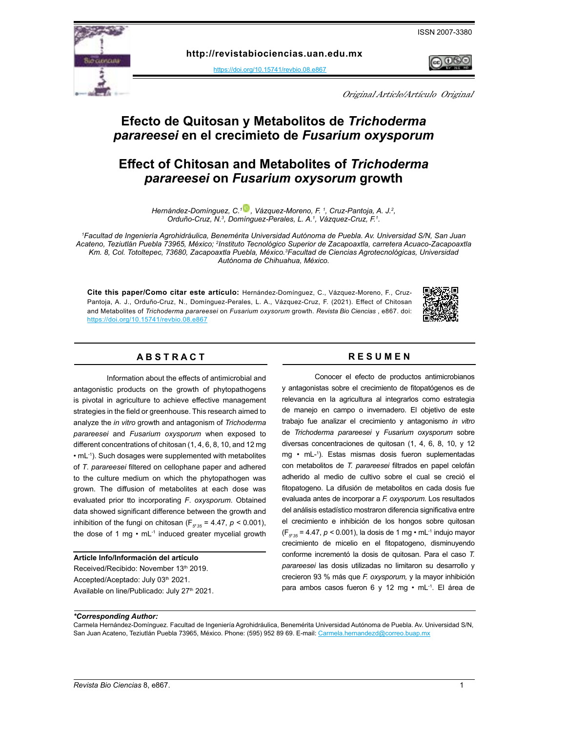ISSN 2007-3380



**http:[/](https://doi.org/10.15741/revbio.07.e875 )/revistabiociencias.uan.edu.mx** 

<https://doi.org/10.15741/revbio.08.e867>



Original Article/Artículo Original

# **Efecto de Quitosan y Metabolitos de** *Trichoderma parareesei* **en el crecimieto de** *Fusarium oxysporum*

# **Effect of Chitosan and Metabolites of** *Trichoderma parareesei* **on** *Fusarium oxysorum* **growth**

*Hernández-Domínguez, C.[1 ,](https://orcid.org/0000-0003-0212-216X) Vázquez-Moreno, F. 1 , Cruz-Pantoja, A. J.2 ,*  Orduño-Cruz, N.<sup>3</sup>, Domínguez-Perales, L. A.<sup>1</sup>, Vázquez-Cruz, F.<sup>1</sup>.

*1 Facultad de Ingeniería Agrohidráulica, Benemérita Universidad Autónoma de Puebla. Av. Universidad S/N, San Juan*  Acateno, Teziutlán Puebla 73965, México; <sup>2</sup>Instituto Tecnológico Superior de Zacapoaxtla, carretera Acuaco-Zacapoaxtla *Km. 8, Col. Totoltepec, 73680, Zacapoaxtla Puebla, México.3 Facultad de Ciencias Agrotecnológicas, Universidad Autónoma de Chihuahua, México.* 

**Cite this paper/Como citar este artículo:** Hernández-Domínguez, C., Vázquez-Moreno, F., Cruz-Pantoja, A. J., Orduño-Cruz, N., Domínguez-Perales, L. A., Vázquez-Cruz, F. (2021). Effect of Chitosan and Metabolites of *Trichoderma parareesei* on *Fusarium oxysorum* growth. *[Revista Bio Ciencias](doi: https://doi.org/10.15741/revbio.08.e982
)* , e867. doi: <https://doi.org/10.15741/revbio.08.e867>



# **A B S T R A C T R E S U M E N**

Information about the effects of antimicrobial and antagonistic products on the growth of phytopathogens is pivotal in agriculture to achieve effective management strategies in the field or greenhouse. This research aimed to analyze the *in vitro* growth and antagonism of *Trichoderma parareesei* and *Fusarium oxysporum* when exposed to different concentrations of chitosan (1, 4, 6, 8, 10, and 12 mg • mL-1). Such dosages were supplemented with metabolites of *T*. *parareesei* filtered on cellophane paper and adhered to the culture medium on which the phytopathogen was grown. The diffusion of metabolites at each dose was evaluated prior tto incorporating *F*. *oxysporum*. Obtained data showed significant difference between the growth and inhibition of the fungi on chitosan (F $_{g_{35}}$  = 4.47, *p* < 0.001), the dose of 1 mg  $\cdot$  mL $^{-1}$  induced greater mycelial growth

#### **Article Info/Información del artículo**

Received/Recibido: November 13th 2019. Accepted/Aceptado: July 03th 2021. Available on line/Publicado: July 27<sup>th</sup> 2021.

Conocer el efecto de productos antimicrobianos y antagonistas sobre el crecimiento de fitopatógenos es de relevancia en la agricultura al integrarlos como estrategia de manejo en campo o invernadero. El objetivo de este trabajo fue analizar el crecimiento y antagonismo *in vitro* de *Trichoderma parareesei* y *Fusarium oxysporum* sobre diversas concentraciones de quitosan (1, 4, 6, 8, 10, y 12 mg • mL-1 ). Estas mismas dosis fueron suplementadas con metabolitos de *T. parareesei* filtrados en papel celofán adherido al medio de cultivo sobre el cual se creció el fitopatogeno. La difusión de metabolitos en cada dosis fue evaluada antes de incorporar a *F. oxysporum.* Los resultados del análisis estadístico mostraron diferencia significativa entre el crecimiento e inhibición de los hongos sobre quitosan (F*5 , <sup>35</sup>* = 4.47, *p <* 0.001), la dosis de 1 mg • mL-1 indujo mayor crecimiento de micelio en el fitopatogeno, disminuyendo conforme incrementó la dosis de quitosan. Para el caso *T. parareesei* las dosis utilizadas no limitaron su desarrollo y crecieron 93 % más que *F. oxysporum,* y la mayor inhibición para ambos casos fueron 6 y 12 mg • mL-1. El área de

*\*Corresponding Author:* 

Carmela Hernández-Domínguez. Facultad de Ingeniería Agrohidráulica, Benemérita Universidad Autónoma de Puebla. Av. Universidad S/N, San Juan Acateno, Teziutlán Puebla 73965, México. Phone: (595) 952 89 69. E-mail: [Carmela.hernandezd@correo.buap.mx](mailto:Carmela.hernandezd%40correo.buap.mx?subject=)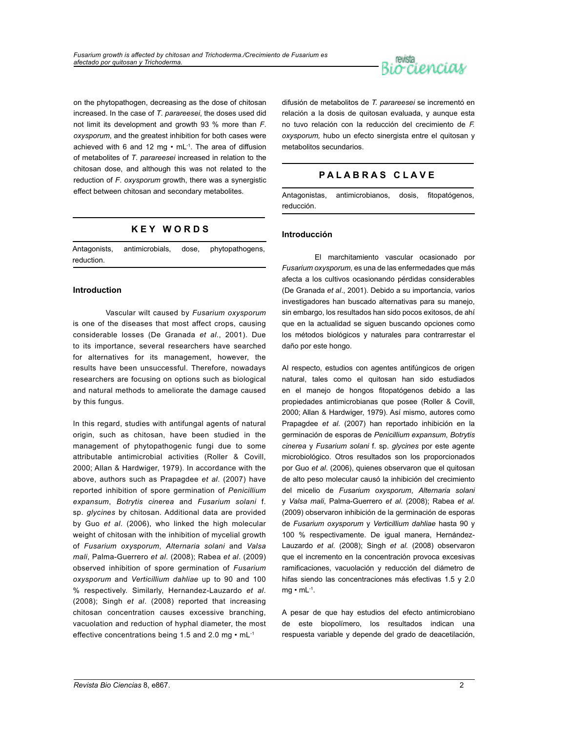

on the phytopathogen, decreasing as the dose of chitosan increased. In the case of *T*. *parareesei*, the doses used did not limit its development and growth 93 % more than *F*. *oxysporum*, and the greatest inhibition for both cases were achieved with 6 and 12 mg  $\cdot$  mL $^{-1}$ . The area of diffusion of metabolites of *T*. *parareesei* increased in relation to the chitosan dose, and although this was not related to the reduction of *F*. *oxysporum* growth, there was a synergistic effect between chitosan and secondary metabolites.

# **K E Y W O R D S**

Antagonists, antimicrobials, dose, phytopathogens, reduction.

# **Introduction**

Vascular wilt caused by *Fusarium oxysporum* is one of the diseases that most affect crops, causing considerable losses (De Granada *et al*., 2001). Due to its importance, several researchers have searched for alternatives for its management, however, the results have been unsuccessful. Therefore, nowadays researchers are focusing on options such as biological and natural methods to ameliorate the damage caused by this fungus.

In this regard, studies with antifungal agents of natural origin, such as chitosan, have been studied in the management of phytopathogenic fungi due to some attributable antimicrobial activities (Roller & Covill, 2000; Allan & Hardwiger, 1979). In accordance with the above, authors such as Prapagdee *et al*. (2007) have reported inhibition of spore germination of *Penicillium expansum*, *Botrytis cinerea* and *Fusarium solani* f. sp. *glycines* by chitosan. Additional data are provided by Guo *et al*. (2006), who linked the high molecular weight of chitosan with the inhibition of mycelial growth of *Fusarium oxysporum*, *Alternaria solani* and *Valsa mali*, Palma-Guerrero *et al*. (2008); Rabea *et al*. (2009) observed inhibition of spore germination of *Fusarium oxysporum* and *Verticillium dahliae* up to 90 and 100 % respectively. Similarly, Hernandez-Lauzardo *et al*. (2008); Singh *et al*. (2008) reported that increasing chitosan concentration causes excessive branching, vacuolation and reduction of hyphal diameter, the most effective concentrations being 1.5 and 2.0 mg • mL-1

difusión de metabolitos de *T. parareesei* se incrementó en relación a la dosis de quitosan evaluada, y aunque esta no tuvo relación con la reducción del crecimiento de *F. oxysporum,* hubo un efecto sinergista entre el quitosan y metabolitos secundarios.

# **P A L A B R A S C L A V E**

Antagonistas, antimicrobianos, dosis, fitopatógenos, reducción.

# **Introducción**

El marchitamiento vascular ocasionado por *Fusarium oxysporum,* es una de las enfermedades que más afecta a los cultivos ocasionando pérdidas considerables (De Granada *et al*., 2001). Debido a su importancia, varios investigadores han buscado alternativas para su manejo, sin embargo, los resultados han sido pocos exitosos, de ahí que en la actualidad se siguen buscando opciones como los métodos biológicos y naturales para contrarrestar el daño por este hongo.

Al respecto, estudios con agentes antifúngicos de origen natural, tales como el quitosan han sido estudiados en el manejo de hongos fitopatógenos debido a las propiedades antimicrobianas que posee (Roller & Covill, 2000; Allan & Hardwiger, 1979). Así mismo, autores como Prapagdee *et al*. (2007) han reportado inhibición en la germinación de esporas de *Penicillium expansum*, *Botrytis cinerea* y *Fusarium solani* f. sp. *glycines* por este agente microbiológico. Otros resultados son los proporcionados por Guo *et al*. (2006), quienes observaron que el quitosan de alto peso molecular causó la inhibición del crecimiento del micelio de *Fusarium oxysporum*, *Alternaria solani* y *Valsa mali*, Palma-Guerrero *et al*. (2008); Rabea *et al*. (2009) observaron inhibición de la germinación de esporas de *Fusarium oxysporum* y *Verticillium dahliae* hasta 90 y 100 % respectivamente. De igual manera, Hernández-Lauzardo *et al*. (2008); Singh *et al.* (2008) observaron que el incremento en la concentración provoca excesivas ramificaciones, vacuolación y reducción del diámetro de hifas siendo las concentraciones más efectivas 1.5 y 2.0  $mg \cdot mL^{-1}$ .

A pesar de que hay estudios del efecto antimicrobiano de este biopolímero, los resultados indican una respuesta variable y depende del grado de deacetilación,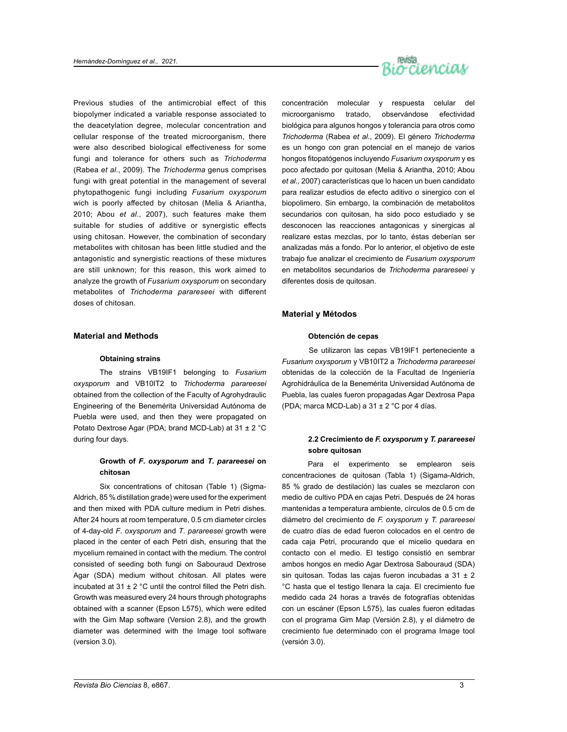

Previous studies of the antimicrobial effect of this biopolymer indicated a variable response associated to the deacetylation degree, molecular concentration and cellular response of the treated microorganism, there were also described biological effectiveness for some fungi and tolerance for others such as *Trichoderma* (Rabea *et al*., 2009). The *Trichoderma* genus comprises fungi with great potential in the management of several phytopathogenic fungi including *Fusarium oxysporum* wich is poorly affected by chitosan (Melia & Ariantha, 2010; Abou *et al*., 2007), such features make them suitable for studies of additive or synergistic effects using chitosan. However, the combination of secondary metabolites with chitosan has been little studied and the antagonistic and synergistic reactions of these mixtures are still unknown; for this reason, this work aimed to analyze the growth of *Fusarium oxysporum* on secondary metabolites of *Trichoderma parareseei* with different doses of chitosan.

## **Material and Methods**

# **Obtaining strains**

The strains VB19IF1 belonging to *Fusarium oxysporum* and VB10IT2 to *Trichoderma parareesei* obtained from the collection of the Faculty of Agrohydraulic Engineering of the Benemérita Universidad Autónoma de Puebla were used, and then they were propagated on Potato Dextrose Agar (PDA; brand MCD-Lab) at 31 ± 2 °C during four days.

# **Growth of** *F***.** *oxysporum* **and** *T***.** *parareesei* **on chitosan**

Six concentrations of chitosan (Table 1) (Sigma-Aldrich, 85 % distillation grade) were used for the experiment and then mixed with PDA culture medium in Petri dishes. After 24 hours at room temperature, 0.5 cm diameter circles of 4-day-old *F*. *oxysporum* and *T*. *parareesei* growth were placed in the center of each Petri dish, ensuring that the mycelium remained in contact with the medium. The control consisted of seeding both fungi on Sabouraud Dextrose Agar (SDA) medium without chitosan. All plates were incubated at  $31 \pm 2$  °C until the control filled the Petri dish. Growth was measured every 24 hours through photographs obtained with a scanner (Epson L575), which were edited with the Gim Map software (Version 2.8), and the growth diameter was determined with the Image tool software (version 3.0).

concentración molecular y respuesta celular del microorganismo tratado, observándose efectividad biológica para algunos hongos y tolerancia para otros como *Trichoderma* (Rabea *et al*., 2009). El género *Trichoderma*  es un hongo con gran potencial en el manejo de varios hongos fitopatógenos incluyendo *Fusarium oxysporum* y es poco afectado por quitosan (Melia & Ariantha, 2010; Abou *et al.,* 2007) características que lo hacen un buen candidato para realizar estudios de efecto aditivo o sinergico con el biopolimero. Sin embargo, la combinación de metabolitos secundarios con quitosan, ha sido poco estudiado y se desconocen las reacciones antagonicas y sinergicas al realizare estas mezclas, por lo tanto, éstas deberían ser analizadas más a fondo. Por lo anterior, el objetivo de este trabajo fue analizar el crecimiento de *Fusarium oxysporum* en metabolitos secundarios de *Trichoderma parareseei* y diferentes dosis de quitosan.

## **Material y Métodos**

#### **Obtención de cepas**

Se utilizaron las cepas VB19IF1 perteneciente a *Fusarium oxysporum* y VB10IT2 a *Trichoderma parareesei* obtenidas de la colección de la Facultad de Ingeniería Agrohidráulica de la Benemérita Universidad Autónoma de Puebla, las cuales fueron propagadas Agar Dextrosa Papa (PDA; marca MCD-Lab) a 31 ± 2 °C por 4 días.

# **2.2 Crecimiento de** *F. oxysporum* **y** *T. parareesei* **sobre quitosan**

Para el experimento se emplearon seis concentraciones de quitosan (Tabla 1) (Sigama-Aldrich, 85 % grado de destilación) las cuales se mezclaron con medio de cultivo PDA en cajas Petri. Después de 24 horas mantenidas a temperatura ambiente, círculos de 0.5 cm de diámetro del crecimiento de *F. oxysporum* y *T. parareesei* de cuatro días de edad fueron colocados en el centro de cada caja Petri, procurando que el micelio quedara en contacto con el medio. El testigo consistió en sembrar ambos hongos en medio Agar Dextrosa Sabouraud (SDA) sin quitosan. Todas las cajas fueron incubadas a 31 ± 2 °C hasta que el testigo llenara la caja. El crecimiento fue medido cada 24 horas a través de fotografías obtenidas con un escáner (Epson L575), las cuales fueron editadas con el programa Gim Map (Versión 2.8), y el diámetro de crecimiento fue determinado con el programa Image tool (versión 3.0).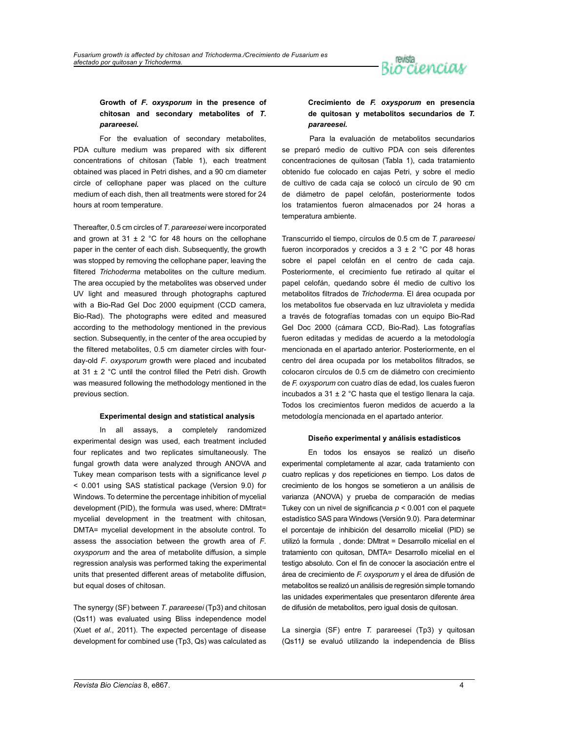

# **Growth of** *F***.** *oxysporum* **in the presence of chitosan and secondary metabolites of** *T***.**  *parareesei.*

For the evaluation of secondary metabolites, PDA culture medium was prepared with six different concentrations of chitosan (Table 1), each treatment obtained was placed in Petri dishes, and a 90 cm diameter circle of cellophane paper was placed on the culture medium of each dish, then all treatments were stored for 24 hours at room temperature.

Thereafter, 0.5 cm circles of *T*. *parareesei* were incorporated and grown at 31  $\pm$  2 °C for 48 hours on the cellophane paper in the center of each dish. Subsequently, the growth was stopped by removing the cellophane paper, leaving the filtered *Trichoderma* metabolites on the culture medium. The area occupied by the metabolites was observed under UV light and measured through photographs captured with a Bio-Rad Gel Doc 2000 equipment (CCD camera, Bio-Rad). The photographs were edited and measured according to the methodology mentioned in the previous section. Subsequently, in the center of the area occupied by the filtered metabolites, 0.5 cm diameter circles with fourday-old *F*. *oxysporum* growth were placed and incubated at 31  $\pm$  2 °C until the control filled the Petri dish. Growth was measured following the methodology mentioned in the previous section.

# **Experimental design and statistical analysis**

In all assays, a completely randomized experimental design was used, each treatment included four replicates and two replicates simultaneously. The fungal growth data were analyzed through ANOVA and Tukey mean comparison tests with a significance level *p* < 0.001 using SAS statistical package (Version 9.0) for Windows. To determine the percentage inhibition of mycelial development (PID), the formula was used, where: DMtrat= mycelial development in the treatment with chitosan, DMTA= mycelial development in the absolute control. To assess the association between the growth area of *F*. *oxysporum* and the area of metabolite diffusion, a simple regression analysis was performed taking the experimental units that presented different areas of metabolite diffusion, but equal doses of chitosan.

The synergy (SF) between *T*. *parareesei* (Tp3) and chitosan (Qs11) was evaluated using Bliss independence model (Xuet *et al*., 2011). The expected percentage of disease development for combined use (Tp3, Qs) was calculated as

# **Crecimiento de** *F. oxysporum* **en presencia de quitosan y metabolitos secundarios de** *T. parareesei.*

Para la evaluación de metabolitos secundarios se preparó medio de cultivo PDA con seis diferentes concentraciones de quitosan (Tabla 1), cada tratamiento obtenido fue colocado en cajas Petri, y sobre el medio de cultivo de cada caja se colocó un círculo de 90 cm de diámetro de papel celofán, posteriormente todos los tratamientos fueron almacenados por 24 horas a temperatura ambiente.

Transcurrido el tiempo, círculos de 0.5 cm de *T. parareesei* fueron incorporados y crecidos a  $3 \pm 2$  °C por 48 horas sobre el papel celofán en el centro de cada caja. Posteriormente, el crecimiento fue retirado al quitar el papel celofán, quedando sobre él medio de cultivo los metabolitos filtrados de *Trichoderma*. El área ocupada por los metabolitos fue observada en luz ultravioleta y medida a través de fotografías tomadas con un equipo Bio-Rad Gel Doc 2000 (cámara CCD, Bio-Rad). Las fotografías fueron editadas y medidas de acuerdo a la metodología mencionada en el apartado anterior. Posteriormente, en el centro del área ocupada por los metabolitos filtrados, se colocaron círculos de 0.5 cm de diámetro con crecimiento de *F. oxysporum* con cuatro días de edad, los cuales fueron incubados a 31 ± 2 °C hasta que el testigo llenara la caja. Todos los crecimientos fueron medidos de acuerdo a la metodología mencionada en el apartado anterior.

#### **Diseño experimental y análisis estadísticos**

En todos los ensayos se realizó un diseño experimental completamente al azar, cada tratamiento con cuatro replicas y dos repeticiones en tiempo. Los datos de crecimiento de los hongos se sometieron a un análisis de varianza (ANOVA) y prueba de comparación de medias Tukey con un nivel de significancia *p* < 0.001 con el paquete estadístico SAS para Windows (Versión 9.0). Para determinar el porcentaje de inhibición del desarrollo micelial (PID) se utilizó la formula , donde: DMtrat = Desarrollo micelial en el tratamiento con quitosan, DMTA= Desarrollo micelial en el testigo absoluto. Con el fin de conocer la asociación entre el área de crecimiento de *F. oxysporum* y el área de difusión de metabolitos se realizó un análisis de regresión simple tomando las unidades experimentales que presentaron diferente área de difusión de metabolitos, pero igual dosis de quitosan.

La sinergia (SF) entre *T.* parareesei (Tp3) y quitosan (Qs11*)* se evaluó utilizando la independencia de Bliss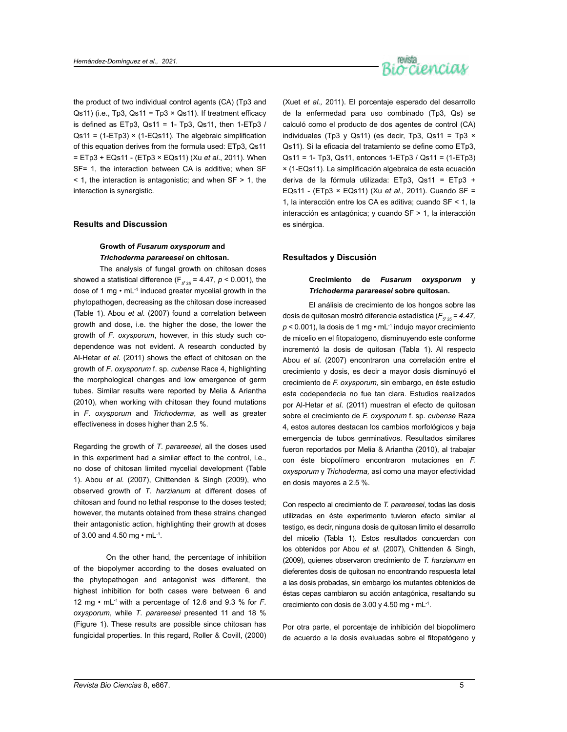

the product of two individual control agents (CA) (Tp3 and Qs11) (i.e., Tp3, Qs11 = Tp3  $\times$  Qs11). If treatment efficacy is defined as  $ETp3$ ,  $Qs11 = 1 - Tp3$ ,  $Qs11$ , then  $1-ETp3$  / Qs11 = (1-ETp3) × (1-EQs11). The algebraic simplification of this equation derives from the formula used: ETp3, Qs11 = ETp3 + EQs11 - (ETp3 × EQs11) (Xu *et al*., 2011). When SF= 1, the interaction between CA is additive; when SF  $\leq$  1, the interaction is antagonistic; and when SF  $>$  1, the interaction is synergistic.

## **Results and Discussion**

# **Growth of** *Fusarum oxysporum* **and**  *Trichoderma parareesei* **on chitosan.**

The analysis of fungal growth on chitosan doses showed a statistical difference (F $_{g^{\prime}35}$  = 4.47,  $p$  < 0.001), the dose of 1 mg • mL-1 induced greater mycelial growth in the phytopathogen, decreasing as the chitosan dose increased (Table 1). Abou *et al.* (2007) found a correlation between growth and dose, i.e. the higher the dose, the lower the growth of *F*. *oxysporum*, however, in this study such codependence was not evident. A research conducted by Al-Hetar *et al*. (2011) shows the effect of chitosan on the growth of *F*. *oxysporum* f. sp. *cubense* Race 4, highlighting the morphological changes and low emergence of germ tubes. Similar results were reported by Melia & Ariantha (2010), when working with chitosan they found mutations in *F*. *oxysporum* and *Trichoderma*, as well as greater effectiveness in doses higher than 2.5 %.

Regarding the growth of *T*. *parareesei*, all the doses used in this experiment had a similar effect to the control, i.e., no dose of chitosan limited mycelial development (Table 1). Abou *et al.* (2007), Chittenden & Singh (2009), who observed growth of *T*. *harzianum* at different doses of chitosan and found no lethal response to the doses tested; however, the mutants obtained from these strains changed their antagonistic action, highlighting their growth at doses of 3.00 and 4.50 mg  $\cdot$  mL $^{-1}$ .

On the other hand, the percentage of inhibition of the biopolymer according to the doses evaluated on the phytopathogen and antagonist was different, the highest inhibition for both cases were between 6 and 12 mg • mL-1 with a percentage of 12.6 and 9.3 % for *F*. *oxysporum*, while *T*. *parareesei* presented 11 and 18 % (Figure 1). These results are possible since chitosan has fungicidal properties. In this regard, Roller & Covill, (2000)

(Xuet *et al.,* 2011). El porcentaje esperado del desarrollo de la enfermedad para uso combinado (Tp3, Qs) se calculó como el producto de dos agentes de control (CA) individuales (Tp3 y Qs11) (es decir, Tp3, Qs11 = Tp3  $\times$ Qs11). Si la eficacia del tratamiento se define como ETp3, Qs11 = 1- Tp3, Qs11, entonces 1-ETp3 / Qs11 = (1-ETp3) × (1-EQs11). La simplificación algebraica de esta ecuación deriva de la fórmula utilizada: ETp3, Qs11 = ETp3 + EQs11 - (ETp3 × EQs11) (Xu *et al.,* 2011). Cuando SF = 1, la interacción entre los CA es aditiva; cuando SF < 1, la interacción es antagónica; y cuando SF > 1, la interacción es sinérgica.

# **Resultados y Discusión**

# **Crecimiento de** *Fusarum oxysporum* **y**  *Trichoderma parareesei* **sobre quitosan.**

El análisis de crecimiento de los hongos sobre las dosis de quitosan mostró diferencia estadística ( $F_{\rm g_235}$  = 4.47, *p* < 0.001), la dosis de 1 mg • mL-1 indujo mayor crecimiento de micelio en el fitopatogeno, disminuyendo este conforme incrementó la dosis de quitosan (Tabla 1). Al respecto Abou *et al.* (2007) encontraron una correlación entre el crecimiento y dosis, es decir a mayor dosis disminuyó el crecimiento de *F. oxysporum,* sin embargo, en éste estudio esta codependecia no fue tan clara. Estudios realizados por Al-Hetar *et al*. (2011) muestran el efecto de quitosan sobre el crecimiento de *F. oxysporum* f. sp. *cubense* Raza 4, estos autores destacan los cambios morfológicos y baja emergencia de tubos germinativos. Resultados similares fueron reportados por Melia & Ariantha (2010), al trabajar con éste biopolímero encontraron mutaciones en *F. oxysporum* y *Trichoderma,* así como una mayor efectividad en dosis mayores a 2.5 %.

Con respecto al crecimiento de *T. parareesei*, todas las dosis utilizadas en éste experimento tuvieron efecto similar al testigo, es decir, ninguna dosis de quitosan limito el desarrollo del micelio (Tabla 1). Estos resultados concuerdan con los obtenidos por Abou *et al*. (2007), Chittenden & Singh, (2009), quienes observaron crecimiento de *T. harzianum* en dieferentes dosis de quitosan no encontrando respuesta letal a las dosis probadas, sin embargo los mutantes obtenidos de éstas cepas cambiaron su acción antagónica, resaltando su crecimiento con dosis de 3.00 y 4.50 mg • mL-1.

Por otra parte, el porcentaje de inhibición del biopolímero de acuerdo a la dosis evaluadas sobre el fitopatógeno y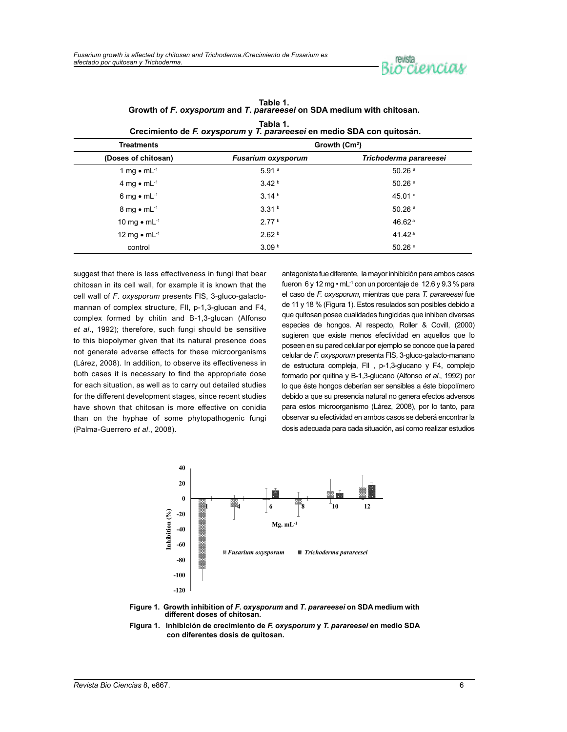

| Grechmento de F. Oxysporum y T. parareeser en medio SDA con quitosan. |                           |                        |  |  |  |
|-----------------------------------------------------------------------|---------------------------|------------------------|--|--|--|
| <b>Treatments</b>                                                     | Growth $(Cm2)$            |                        |  |  |  |
| (Doses of chitosan)                                                   | <b>Fusarium oxysporum</b> | Trichoderma parareesei |  |  |  |
| 1 mg $\bullet$ mL <sup>-1</sup>                                       | 5.91a                     | $50.26$ <sup>a</sup>   |  |  |  |
| 4 mg $\bullet$ mL <sup>-1</sup>                                       | 3.42 <sup>b</sup>         | $50.26$ <sup>a</sup>   |  |  |  |
| 6 mg $\bullet$ mL <sup>-1</sup>                                       | 3.14 <sup>b</sup>         | 45.01 $^{\circ}$       |  |  |  |
| 8 mg $\bullet$ mL <sup>-1</sup>                                       | 3.31 <sup>b</sup>         | $50.26$ <sup>a</sup>   |  |  |  |
| 10 mg $\bullet$ mL <sup>-1</sup>                                      | 2.77 <sup>b</sup>         | 46.62 $a$              |  |  |  |
| 12 mg $\bullet$ mL <sup>-1</sup>                                      | 2.62 <sup>b</sup>         | 41.42 $a$              |  |  |  |
| control                                                               | 3.09 <sup>b</sup>         | $50.26$ <sup>a</sup>   |  |  |  |

**Table 1. Growth of** *F***.** *oxysporum* **and** *T***.** *parareesei* **on SDA medium with chitosan. Tabla 1. Crecimiento de** *F. oxysporum* **y** *T. parareesei* **en medio SDA con quitosán.**

suggest that there is less effectiveness in fungi that bear chitosan in its cell wall, for example it is known that the cell wall of *F*. *oxysporum* presents FlS, 3-gluco-galactomannan of complex structure, FlI, p-1,3-glucan and F4, complex formed by chitin and B-1,3-glucan (Alfonso *et al*., 1992); therefore, such fungi should be sensitive to this biopolymer given that its natural presence does not generate adverse effects for these microorganisms (Lárez, 2008). In addition, to observe its effectiveness in both cases it is necessary to find the appropriate dose for each situation, as well as to carry out detailed studies for the different development stages, since recent studies have shown that chitosan is more effective on conidia than on the hyphae of some phytopathogenic fungi (Palma-Guerrero *et al*., 2008).

antagonista fue diferente, la mayor inhibición para ambos casos fueron  $6 \vee 12$  mg  $\cdot$  mL $^{-1}$  con un porcentaje de 12.6  $\vee$  9.3 % para el caso de *F. oxysporum*, mientras que para *T. parareesei* fue de 11 y 18 % (Figura 1). Estos resulados son posibles debido a que quitosan posee cualidades fungicidas que inhiben diversas especies de hongos. Al respecto, Roller & Covill, (2000) sugieren que existe menos efectividad en aquellos que lo poseen en su pared celular por ejemplo se conoce que la pared celular de *F. oxysporum* presenta FlS, 3-gluco-galacto-manano de estructura compleja, FlI , p-1,3-glucano y F4, complejo formado por quitina y B-1,3-glucano (Alfonso *et al*., 1992) por lo que éste hongos deberían ser sensibles a éste biopolímero debido a que su presencia natural no genera efectos adversos para estos microorganismo (Lárez, 2008), por lo tanto, para observar su efectividad en ambos casos se deberá encontrar la dosis adecuada para cada situación, así como realizar estudios



**Figure 1. Growth inhibition of** *F***.** *oxysporum* **and** *T***.** *parareesei* **on SDA medium with different doses of chitosan.**

**Figura 1. Inhibición de crecimiento de** *F. oxysporum* **y** *T. parareesei* **en medio SDA con diferentes dosis de quitosan.**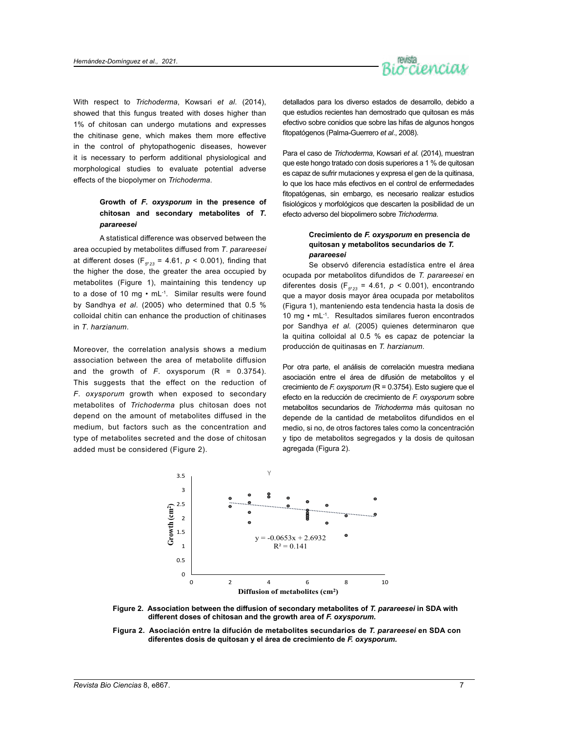

With respect to *Trichoderma*, Kowsari *et al*. (2014), showed that this fungus treated with doses higher than 1% of chitosan can undergo mutations and expresses the chitinase gene, which makes them more effective in the control of phytopathogenic diseases, however it is necessary to perform additional physiological and morphological studies to evaluate potential adverse effects of the biopolymer on *Trichoderma*.

# **Growth of** *F***.** *oxysporum* **in the presence of chitosan and secondary metabolites of** *T***.**  *parareesei*

A statistical difference was observed between the area occupied by metabolites diffused from *T*. *parareesei* at different doses (F $_{5'23}$  = 4.61,  $p$  < 0.001), finding that the higher the dose, the greater the area occupied by metabolites (Figure 1), maintaining this tendency up to a dose of 10 mg • mL-1. Similar results were found by Sandhya *et al*. (2005) who determined that 0.5 % colloidal chitin can enhance the production of chitinases in *T*. *harzianum*.

Moreover, the correlation analysis shows a medium association between the area of metabolite diffusion and the growth of  $F$ . oxysporum  $(R = 0.3754)$ . This suggests that the effect on the reduction of *F*. *oxysporum* growth when exposed to secondary metabolites of *Trichoderma* plus chitosan does not depend on the amount of metabolites diffused in the medium, but factors such as the concentration and type of metabolites secreted and the dose of chitosan added must be considered (Figure 2).

detallados para los diverso estados de desarrollo, debido a que estudios recientes han demostrado que quitosan es más efectivo sobre conidios que sobre las hifas de algunos hongos fitopatógenos (Palma-Guerrero *et al*., 2008).

Para el caso de *Trichoderma*, Kowsari *et al.* (2014), muestran que este hongo tratado con dosis superiores a 1 % de quitosan es capaz de sufrir mutaciones y expresa el gen de la quitinasa, lo que los hace más efectivos en el control de enfermedades fitopatógenas, sin embargo, es necesario realizar estudios fisiológicos y morfológicos que descarten la posibilidad de un efecto adverso del biopolimero sobre *Trichoderma*.

# **Crecimiento de** *F. oxysporum* **en presencia de quitosan y metabolitos secundarios de** *T. parareesei*

Se observó diferencia estadística entre el área ocupada por metabolitos difundidos de *T. parareesei* en diferentes dosis ( $F_{5'23}$  = 4.61,  $p < 0.001$ ), encontrando que a mayor dosis mayor área ocupada por metabolitos (Figura 1), manteniendo esta tendencia hasta la dosis de 10 mg • mL-1. Resultados similares fueron encontrados por Sandhya *et al.* (2005) quienes determinaron que la quitina colloidal al 0.5 % es capaz de potenciar la producción de quitinasas en *T. harzianum*.

Por otra parte, el análisis de correlación muestra mediana asociación entre el área de difusión de metabolitos y el crecimiento de *F. oxysporum* (R = 0.3754). Esto sugiere que el efecto en la reducción de crecimiento de *F. oxysporum* sobre metabolitos secundarios de *Trichoderma* más quitosan no depende de la cantidad de metabolitos difundidos en el medio, si no, de otros factores tales como la concentración y tipo de metabolitos segregados y la dosis de quitosan agregada (Figura 2).



**Figure 2. Association between the diffusion of secondary metabolites of** *T. parareesei* **in SDA with different doses of chitosan and the growth area of** *F. oxysporum.*

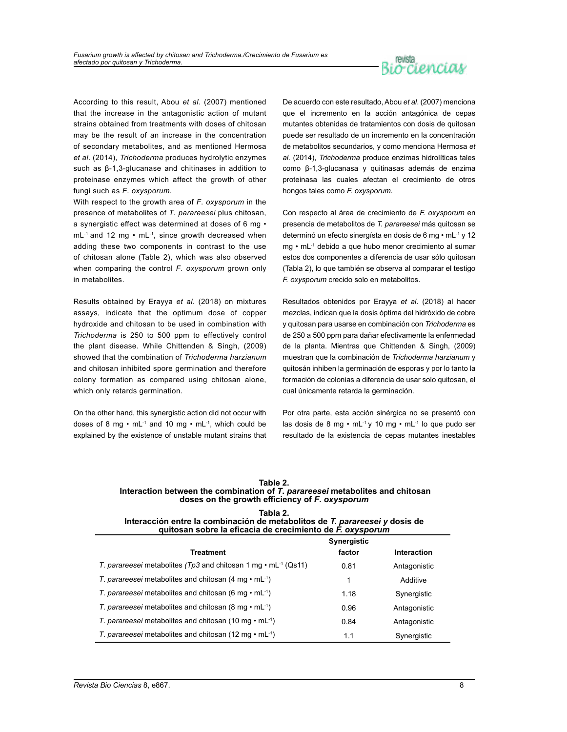

According to this result, Abou *et al*. (2007) mentioned that the increase in the antagonistic action of mutant strains obtained from treatments with doses of chitosan may be the result of an increase in the concentration of secondary metabolites, and as mentioned Hermosa *et al*. (2014), *Trichoderma* produces hydrolytic enzymes such as β-1,3-glucanase and chitinases in addition to proteinase enzymes which affect the growth of other fungi such as *F*. *oxysporum*.

With respect to the growth area of *F*. *oxysporum* in the presence of metabolites of *T*. *parareesei* plus chitosan, a synergistic effect was determined at doses of 6 mg • mL-1 and 12 mg • mL-1, since growth decreased when adding these two components in contrast to the use of chitosan alone (Table 2), which was also observed when comparing the control *F*. *oxysporum* grown only in metabolites.

Results obtained by Erayya *et al*. (2018) on mixtures assays, indicate that the optimum dose of copper hydroxide and chitosan to be used in combination with *Trichoderma* is 250 to 500 ppm to effectively control the plant disease. While Chittenden & Singh, (2009) showed that the combination of *Trichoderma harzianum* and chitosan inhibited spore germination and therefore colony formation as compared using chitosan alone, which only retards germination.

On the other hand, this synergistic action did not occur with doses of 8 mg  $\cdot$  mL<sup>-1</sup> and 10 mg  $\cdot$  mL<sup>-1</sup>, which could be explained by the existence of unstable mutant strains that

De acuerdo con este resultado, Abou *et al*. (2007) menciona que el incremento en la acción antagónica de cepas mutantes obtenidas de tratamientos con dosis de quitosan puede ser resultado de un incremento en la concentración de metabolitos secundarios, y como menciona Hermosa *et al.* (2014), *Trichoderma* produce enzimas hidrolíticas tales como β-1,3-glucanasa y quitinasas además de enzima proteinasa las cuales afectan el crecimiento de otros hongos tales como *F. oxysporum.*

Con respecto al área de crecimiento de *F. oxysporum* en presencia de metabolitos de *T. parareesei* más quitosan se determinó un efecto sinergísta en dosis de 6 mg • mL-1 y 12 mg • mL-1 debido a que hubo menor crecimiento al sumar estos dos componentes a diferencia de usar sólo quitosan (Tabla 2), lo que también se observa al comparar el testigo *F. oxysporum* crecido solo en metabolitos.

Resultados obtenidos por Erayya *et al*. (2018) al hacer mezclas, indican que la dosis óptima del hidróxido de cobre y quitosan para usarse en combinación con *Trichoderma* es de 250 a 500 ppm para dañar efectivamente la enfermedad de la planta. Mientras que Chittenden & Singh, (2009) muestran que la combinación de *Trichoderma harzianum* y quitosán inhiben la germinación de esporas y por lo tanto la formación de colonias a diferencia de usar solo quitosan, el cual únicamente retarda la germinación.

Por otra parte, esta acción sinérgica no se presentó con las dosis de 8 mg • mL-1 y 10 mg • mL-1 lo que pudo ser resultado de la existencia de cepas mutantes inestables

| Table 2.                                                                      |  |  |  |
|-------------------------------------------------------------------------------|--|--|--|
| Interaction between the combination of T. parareesei metabolites and chitosan |  |  |  |
| doses on the growth efficiency of F. oxysporum                                |  |  |  |

| Tabla 2.                                                                    |
|-----------------------------------------------------------------------------|
| Interacción entre la combinación de metabolitos de T. parareesei y dosis de |
| quitosan sobre la eficacia de crecimiento de F. oxysporum                   |

|                                                                              | Synergistic |              |  |
|------------------------------------------------------------------------------|-------------|--------------|--|
| Treatment                                                                    | factor      | Interaction  |  |
| T. parareesei metabolites (Tp3 and chitosan 1 mg $\cdot$ mL $^{-1}$ (Qs11)   | 0.81        | Antagonistic |  |
| T. parareesei metabolites and chitosan $(4 \text{ mg} \cdot \text{mL}^{-1})$ | 1           | Additive     |  |
| T. parareesei metabolites and chitosan (6 mg $\cdot$ mL <sup>-1</sup> )      | 1.18        | Synergistic  |  |
| T. parareesei metabolites and chitosan (8 mg $\cdot$ mL <sup>-1</sup> )      | 0.96        | Antagonistic |  |
| T. parareesei metabolites and chitosan (10 mg $\cdot$ mL <sup>-1</sup> )     | 0.84        | Antagonistic |  |
| T. parareesei metabolites and chitosan (12 mg $\cdot$ mL <sup>-1</sup> )     | 1.1         | Synergistic  |  |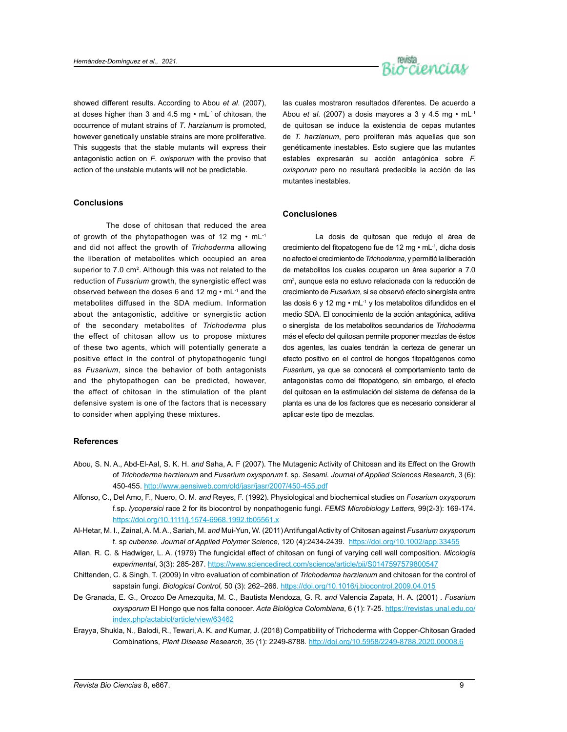

showed different results. According to Abou *et al*. (2007), at doses higher than 3 and 4.5 mg  $\cdot$  mL $\cdot$ <sup>1</sup> of chitosan, the occurrence of mutant strains of *T*. *harzianum* is promoted, however genetically unstable strains are more proliferative. This suggests that the stable mutants will express their antagonistic action on *F*. *oxisporum* with the proviso that action of the unstable mutants will not be predictable.

# **Conclusions**

The dose of chitosan that reduced the area of growth of the phytopathogen was of 12 mg  $\cdot$  mL<sup>-1</sup> and did not affect the growth of *Trichoderma* allowing the liberation of metabolites which occupied an area superior to 7.0 cm<sup>2</sup>. Although this was not related to the reduction of *Fusarium* growth, the synergistic effect was observed between the doses 6 and 12 mg • mL-1 and the metabolites diffused in the SDA medium. Information about the antagonistic, additive or synergistic action of the secondary metabolites of *Trichoderma* plus the effect of chitosan allow us to propose mixtures of these two agents, which will potentially generate a positive effect in the control of phytopathogenic fungi as *Fusarium*, since the behavior of both antagonists and the phytopathogen can be predicted, however, the effect of chitosan in the stimulation of the plant defensive system is one of the factors that is necessary to consider when applying these mixtures.

las cuales mostraron resultados diferentes. De acuerdo a Abou *et al*. (2007) a dosis mayores a 3 y 4.5 mg • mL-1 de quitosan se induce la existencia de cepas mutantes de *T. harzianum*, pero proliferan más aquellas que son genéticamente inestables. Esto sugiere que las mutantes estables expresarán su acción antagónica sobre *F. oxisporum* pero no resultará predecible la acción de las mutantes inestables.

#### **Conclusiones**

La dosis de quitosan que redujo el área de crecimiento del fitopatogeno fue de 12 mg • mL-1, dicha dosis no afecto el crecimiento de *Trichoderma*, y permitió la liberación de metabolitos los cuales ocuparon un área superior a 7.0 cm2 , aunque esta no estuvo relacionada con la reducción de crecimiento de *Fusarium*, si se observó efecto sinergísta entre las dosis 6 y 12 mg · mL-1 y los metabolitos difundidos en el medio SDA. El conocimiento de la acción antagónica, aditiva o sinergísta de los metabolitos secundarios de *Trichoderma*  más el efecto del quitosan permite proponer mezclas de éstos dos agentes, las cuales tendrán la certeza de generar un efecto positivo en el control de hongos fitopatógenos como *Fusarium*, ya que se conocerá el comportamiento tanto de antagonistas como del fitopatógeno, sin embargo, el efecto del quitosan en la estimulación del sistema de defensa de la planta es una de los factores que es necesario considerar al aplicar este tipo de mezclas.

## **References**

- Abou, S. N. A., Abd-El-Aal, S. K. H. *and* Saha, A. F (2007). The Mutagenic Activity of Chitosan and its Effect on the Growth of *Trichoderma harzianum* and *Fusarium oxysporum* f. sp. *Sesami. Journal of Applied Sciences Research*, 3 (6): 450-455. <http://www.aensiweb.com/old/jasr/jasr/2007/450-455.pdf>
- Alfonso, C., Del Amo, F., Nuero, O. M. *and* Reyes, F. (1992). Physiological and biochemical studies on *Fusarium oxysporum* f.sp. *lycopersici* race 2 for its biocontrol by nonpathogenic fungi. *FEMS Microbiology Letters*, 99(2-3): 169-174. <https://doi.org/10.1111/j.1574-6968.1992.tb05561.x>
- Al-Hetar, M. I., Zainal, A. M. A., Sariah, M. *and* Mui-Yun, W. (2011) Antifungal Activity of Chitosan against *Fusarium oxysporum* f. sp *cubense. Journal of Applied Polymer Science*, 120 (4):2434-2439. <https://doi.org/10.1002/app.33455>
- Allan, R. C. & Hadwiger, L. A. (1979) The fungicidal effect of chitosan on fungi of varying cell wall composition. *Micología experimental*, 3(3): 285-287. <https://www.sciencedirect.com/science/article/pii/S0147597579800547>
- Chittenden, C. & Singh, T. (2009) In vitro evaluation of combination of *Trichoderma harzianum* and chitosan for the control of sapstain fungi. *Biological Control,* 50 (3): 262–266.<https://doi.org/10.1016/j.biocontrol.2009.04.015>
- De Granada, E. G., Orozco De Amezquita, M. C., Bautista Mendoza, G. R. *and* Valencia Zapata, H. A. (2001) . *Fusarium oxysporum* El Hongo que nos falta conocer. *Acta Biológica Colombiana*, 6 (1): 7-25. [https://revistas.unal.edu.co/](https://revistas.unal.edu.co/index.php/actabiol/article/view/63462) [index.php/actabiol/article/view/63462](https://revistas.unal.edu.co/index.php/actabiol/article/view/63462)
- Erayya, Shukla, N., Balodi, R., Tewari, A. K. *and* Kumar, J. (2018) Compatibility of Trichoderma with Copper-Chitosan Graded Combinations, *Plant Disease Research,* 35 (1): 2249-8788. <http://doi.org/10.5958/2249-8788.2020.00008.6>